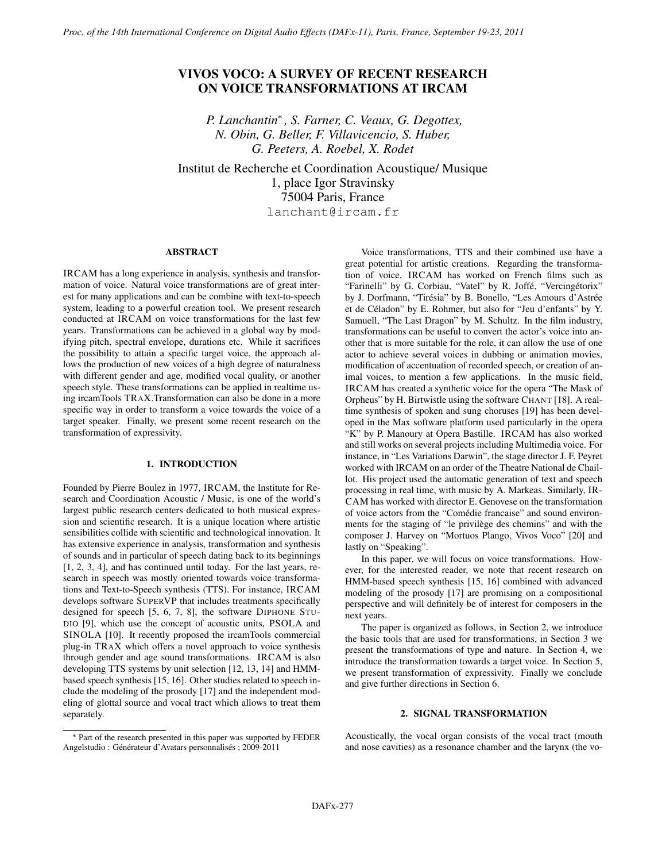# VIVOS VOCO: A SURVEY OF RECENT RESEARCH ON VOICE TRANSFORMATIONS AT IRCAM

*P. Lanchantin*<sup>∗</sup> *, S. Farner, C. Veaux, G. Degottex, N. Obin, G. Beller, F. Villavicencio, S. Huber, G. Peeters, A. Roebel, X. Rodet*

Institut de Recherche et Coordination Acoustique/ Musique 1, place Igor Stravinsky 75004 Paris, France lanchant@ircam.fr

# ABSTRACT

IRCAM has a long experience in analysis, synthesis and transformation of voice. Natural voice transformations are of great interest for many applications and can be combine with text-to-speech system, leading to a powerful creation tool. We present research conducted at IRCAM on voice transformations for the last few years. Transformations can be achieved in a global way by modifying pitch, spectral envelope, durations etc. While it sacrifices the possibility to attain a specific target voice, the approach allows the production of new voices of a high degree of naturalness with different gender and age, modified vocal quality, or another speech style. These transformations can be applied in realtime using ircamTools TRAX.Transformation can also be done in a more specific way in order to transform a voice towards the voice of a target speaker. Finally, we present some recent research on the transformation of expressivity.

### 1. INTRODUCTION

Founded by Pierre Boulez in 1977, IRCAM, the Institute for Research and Coordination Acoustic / Music, is one of the world's largest public research centers dedicated to both musical expression and scientific research. It is a unique location where artistic sensibilities collide with scientific and technological innovation. It has extensive experience in analysis, transformation and synthesis of sounds and in particular of speech dating back to its beginnings [1, 2, 3, 4], and has continued until today. For the last years, research in speech was mostly oriented towards voice transformations and Text-to-Speech synthesis (TTS). For instance, IRCAM develops software SUPERVP that includes treatments specifically designed for speech [5, 6, 7, 8], the software DIPHONE STU-DIO [9], which use the concept of acoustic units, PSOLA and SINOLA [10]. It recently proposed the ircamTools commercial plug-in TRAX which offers a novel approach to voice synthesis through gender and age sound transformations. IRCAM is also developing TTS systems by unit selection [12, 13, 14] and HMMbased speech synthesis [15, 16]. Other studies related to speech include the modeling of the prosody [17] and the independent modeling of glottal source and vocal tract which allows to treat them separately.

Voice transformations, TTS and their combined use have a great potential for artistic creations. Regarding the transformation of voice, IRCAM has worked on French films such as "Farinelli" by G. Corbiau, "Vatel" by R. Joffé, "Vercingétorix" by J. Dorfmann, "Tirésia" by B. Bonello, "Les Amours d'Astrée et de Céladon" by E. Rohmer, but also for "Jeu d'enfants" by Y. Samuell, "The Last Dragon" by M. Schultz. In the film industry, transformations can be useful to convert the actor's voice into another that is more suitable for the role, it can allow the use of one actor to achieve several voices in dubbing or animation movies, modification of accentuation of recorded speech, or creation of animal voices, to mention a few applications. In the music field, IRCAM has created a synthetic voice for the opera "The Mask of Orpheus" by H. Birtwistle using the software CHANT [18]. A realtime synthesis of spoken and sung choruses [19] has been developed in the Max software platform used particularly in the opera "K" by P. Manoury at Opera Bastille. IRCAM has also worked and still works on several projects including Multimedia voice. For instance, in "Les Variations Darwin", the stage director J. F. Peyret worked with IRCAM on an order of the Theatre National de Chaillot. His project used the automatic generation of text and speech processing in real time, with music by A. Markeas. Similarly, IR-CAM has worked with director E. Genovese on the transformation of voice actors from the "Comédie francaise" and sound environments for the staging of "le privilège des chemins" and with the composer J. Harvey on "Mortuos Plango, Vivos Voco" [20] and lastly on "Speaking".

In this paper, we will focus on voice transformations. However, for the interested reader, we note that recent research on HMM-based speech synthesis [15, 16] combined with advanced modeling of the prosody [17] are promising on a compositional perspective and will definitely be of interest for composers in the next years.

The paper is organized as follows, in Section 2, we introduce the basic tools that are used for transformations, in Section 3 we present the transformations of type and nature. In Section 4, we introduce the transformation towards a target voice. In Section 5, we present transformation of expressivity. Finally we conclude and give further directions in Section 6.

# 2. SIGNAL TRANSFORMATION

Acoustically, the vocal organ consists of the vocal tract (mouth and nose cavities) as a resonance chamber and the larynx (the vo-

<sup>∗</sup> Part of the research presented in this paper was supported by FEDER Angelstudio : Générateur d'Avatars personnalisés ; 2009-2011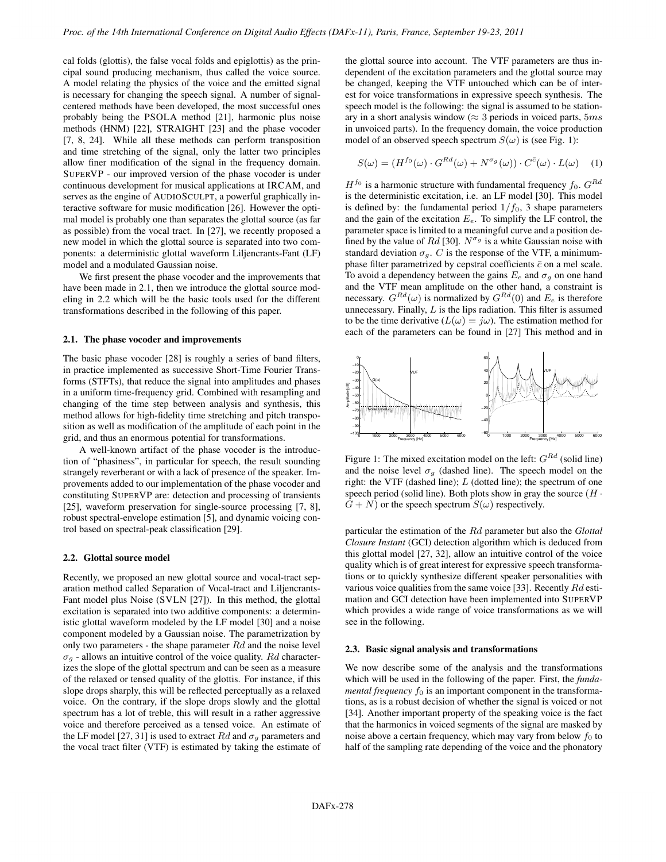cal folds (glottis), the false vocal folds and epiglottis) as the principal sound producing mechanism, thus called the voice source. A model relating the physics of the voice and the emitted signal is necessary for changing the speech signal. A number of signalcentered methods have been developed, the most successful ones probably being the PSOLA method [21], harmonic plus noise methods (HNM) [22], STRAIGHT [23] and the phase vocoder [7, 8, 24]. While all these methods can perform transposition and time stretching of the signal, only the latter two principles allow finer modification of the signal in the frequency domain. SUPERVP - our improved version of the phase vocoder is under continuous development for musical applications at IRCAM, and serves as the engine of AUDIOSCULPT, a powerful graphically interactive software for music modification [26]. However the optimal model is probably one than separates the glottal source (as far as possible) from the vocal tract. In [27], we recently proposed a new model in which the glottal source is separated into two components: a deterministic glottal waveform Liljencrants-Fant (LF) model and a modulated Gaussian noise.

We first present the phase vocoder and the improvements that have been made in 2.1, then we introduce the glottal source modeling in 2.2 which will be the basic tools used for the different transformations described in the following of this paper.

# 2.1. The phase vocoder and improvements

The basic phase vocoder [28] is roughly a series of band filters, in practice implemented as successive Short-Time Fourier Transforms (STFTs), that reduce the signal into amplitudes and phases in a uniform time-frequency grid. Combined with resampling and changing of the time step between analysis and synthesis, this method allows for high-fidelity time stretching and pitch transposition as well as modification of the amplitude of each point in the grid, and thus an enormous potential for transformations.

A well-known artifact of the phase vocoder is the introduction of "phasiness", in particular for speech, the result sounding strangely reverberant or with a lack of presence of the speaker. Improvements added to our implementation of the phase vocoder and constituting SUPERVP are: detection and processing of transients [25], waveform preservation for single-source processing [7, 8], robust spectral-envelope estimation [5], and dynamic voicing control based on spectral-peak classification [29].

#### 2.2. Glottal source model

Recently, we proposed an new glottal source and vocal-tract separation method called Separation of Vocal-tract and Liljencrants-Fant model plus Noise (SVLN [27]). In this method, the glottal excitation is separated into two additive components: a deterministic glottal waveform modeled by the LF model [30] and a noise component modeled by a Gaussian noise. The parametrization by only two parameters - the shape parameter  $Rd$  and the noise level  $\sigma_q$  - allows an intuitive control of the voice quality. Rd characterizes the slope of the glottal spectrum and can be seen as a measure of the relaxed or tensed quality of the glottis. For instance, if this slope drops sharply, this will be reflected perceptually as a relaxed voice. On the contrary, if the slope drops slowly and the glottal spectrum has a lot of treble, this will result in a rather aggressive voice and therefore perceived as a tensed voice. An estimate of the LF model [27, 31] is used to extract  $Rd$  and  $\sigma_g$  parameters and the vocal tract filter (VTF) is estimated by taking the estimate of the glottal source into account. The VTF parameters are thus independent of the excitation parameters and the glottal source may be changed, keeping the VTF untouched which can be of interest for voice transformations in expressive speech synthesis. The speech model is the following: the signal is assumed to be stationary in a short analysis window ( $\approx 3$  periods in voiced parts,  $5ms$ in unvoiced parts). In the frequency domain, the voice production model of an observed speech spectrum  $S(\omega)$  is (see Fig. 1):

$$
S(\omega) = (H^{f_0}(\omega) \cdot G^{Rd}(\omega) + N^{\sigma_g}(\omega)) \cdot C^{\bar{c}}(\omega) \cdot L(\omega) \quad (1)
$$

 $H<sup>f<sub>0</sub></sup>$  is a harmonic structure with fundamental frequency  $f<sub>0</sub>$ .  $G<sup>Rd</sup>$ is the deterministic excitation, i.e. an LF model [30]. This model is defined by: the fundamental period  $1/f_0$ , 3 shape parameters and the gain of the excitation  $E_e$ . To simplify the LF control, the parameter space is limited to a meaningful curve and a position defined by the value of Rd [30].  $N^{\sigma_g}$  is a white Gaussian noise with standard deviation  $\sigma_q$ . C is the response of the VTF, a minimumphase filter parametrized by cepstral coefficients  $\bar{c}$  on a mel scale. To avoid a dependency between the gains  $E_e$  and  $\sigma_g$  on one hand and the VTF mean amplitude on the other hand, a constraint is necessary.  $G^{Rd}(\omega)$  is normalized by  $G^{Rd}(0)$  and  $E_e$  is therefore unnecessary. Finally,  $L$  is the lips radiation. This filter is assumed to be the time derivative  $(L(\omega) = j\omega)$ . The estimation method for each of the parameters can be found in [27] This method and in



Figure 1: The mixed excitation model on the left:  $G^{Rd}$  (solid line) and the noise level  $\sigma_g$  (dashed line). The speech model on the right: the VTF (dashed line);  $L$  (dotted line); the spectrum of one speech period (solid line). Both plots show in gray the source  $(H \cdot$  $G + N$ ) or the speech spectrum  $S(\omega)$  respectively.

particular the estimation of the Rd parameter but also the *Glottal Closure Instant* (GCI) detection algorithm which is deduced from this glottal model [27, 32], allow an intuitive control of the voice quality which is of great interest for expressive speech transformations or to quickly synthesize different speaker personalities with various voice qualities from the same voice [33]. Recently Rd estimation and GCI detection have been implemented into SUPERVP which provides a wide range of voice transformations as we will see in the following.

#### 2.3. Basic signal analysis and transformations

We now describe some of the analysis and the transformations which will be used in the following of the paper. First, the *fundamental frequency*  $f_0$  is an important component in the transformations, as is a robust decision of whether the signal is voiced or not [34]. Another important property of the speaking voice is the fact that the harmonics in voiced segments of the signal are masked by noise above a certain frequency, which may vary from below  $f_0$  to half of the sampling rate depending of the voice and the phonatory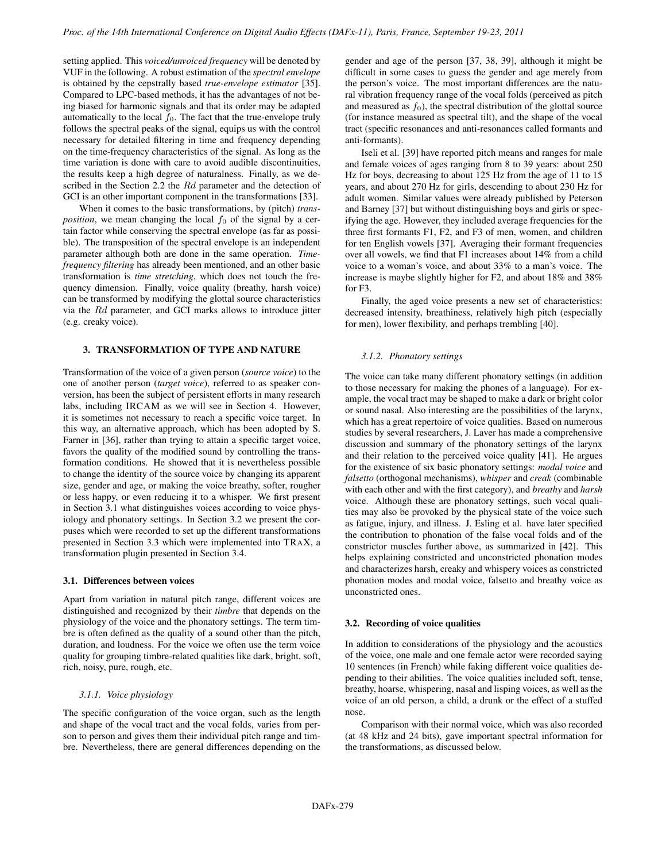setting applied. This *voiced/unvoiced frequency* will be denoted by VUF in the following. A robust estimation of the *spectral envelope* is obtained by the cepstrally based *true-envelope estimator* [35]. Compared to LPC-based methods, it has the advantages of not being biased for harmonic signals and that its order may be adapted automatically to the local  $f_0$ . The fact that the true-envelope truly follows the spectral peaks of the signal, equips us with the control necessary for detailed filtering in time and frequency depending on the time-frequency characteristics of the signal. As long as the time variation is done with care to avoid audible discontinuities, the results keep a high degree of naturalness. Finally, as we described in the Section 2.2 the Rd parameter and the detection of GCI is an other important component in the transformations [33].

When it comes to the basic transformations, by (pitch) *transposition*, we mean changing the local  $f_0$  of the signal by a certain factor while conserving the spectral envelope (as far as possible). The transposition of the spectral envelope is an independent parameter although both are done in the same operation. *Timefrequency filtering* has already been mentioned, and an other basic transformation is *time stretching*, which does not touch the frequency dimension. Finally, voice quality (breathy, harsh voice) can be transformed by modifying the glottal source characteristics via the Rd parameter, and GCI marks allows to introduce jitter (e.g. creaky voice).

### 3. TRANSFORMATION OF TYPE AND NATURE

Transformation of the voice of a given person (*source voice*) to the one of another person (*target voice*), referred to as speaker conversion, has been the subject of persistent efforts in many research labs, including IRCAM as we will see in Section 4. However, it is sometimes not necessary to reach a specific voice target. In this way, an alternative approach, which has been adopted by S. Farner in [36], rather than trying to attain a specific target voice, favors the quality of the modified sound by controlling the transformation conditions. He showed that it is nevertheless possible to change the identity of the source voice by changing its apparent size, gender and age, or making the voice breathy, softer, rougher or less happy, or even reducing it to a whisper. We first present in Section 3.1 what distinguishes voices according to voice physiology and phonatory settings. In Section 3.2 we present the corpuses which were recorded to set up the different transformations presented in Section 3.3 which were implemented into TRAX, a transformation plugin presented in Section 3.4.

# 3.1. Differences between voices

Apart from variation in natural pitch range, different voices are distinguished and recognized by their *timbre* that depends on the physiology of the voice and the phonatory settings. The term timbre is often defined as the quality of a sound other than the pitch, duration, and loudness. For the voice we often use the term voice quality for grouping timbre-related qualities like dark, bright, soft, rich, noisy, pure, rough, etc.

## *3.1.1. Voice physiology*

The specific configuration of the voice organ, such as the length and shape of the vocal tract and the vocal folds, varies from person to person and gives them their individual pitch range and timbre. Nevertheless, there are general differences depending on the

gender and age of the person [37, 38, 39], although it might be difficult in some cases to guess the gender and age merely from the person's voice. The most important differences are the natural vibration frequency range of the vocal folds (perceived as pitch and measured as  $f_0$ ), the spectral distribution of the glottal source (for instance measured as spectral tilt), and the shape of the vocal tract (specific resonances and anti-resonances called formants and anti-formants).

Iseli et al. [39] have reported pitch means and ranges for male and female voices of ages ranging from 8 to 39 years: about 250 Hz for boys, decreasing to about 125 Hz from the age of 11 to 15 years, and about 270 Hz for girls, descending to about 230 Hz for adult women. Similar values were already published by Peterson and Barney [37] but without distinguishing boys and girls or specifying the age. However, they included average frequencies for the three first formants F1, F2, and F3 of men, women, and children for ten English vowels [37]. Averaging their formant frequencies over all vowels, we find that F1 increases about 14% from a child voice to a woman's voice, and about 33% to a man's voice. The increase is maybe slightly higher for F2, and about 18% and 38% for F3.

Finally, the aged voice presents a new set of characteristics: decreased intensity, breathiness, relatively high pitch (especially for men), lower flexibility, and perhaps trembling [40].

### *3.1.2. Phonatory settings*

The voice can take many different phonatory settings (in addition to those necessary for making the phones of a language). For example, the vocal tract may be shaped to make a dark or bright color or sound nasal. Also interesting are the possibilities of the larynx, which has a great repertoire of voice qualities. Based on numerous studies by several researchers, J. Laver has made a comprehensive discussion and summary of the phonatory settings of the larynx and their relation to the perceived voice quality [41]. He argues for the existence of six basic phonatory settings: *modal voice* and *falsetto* (orthogonal mechanisms), *whisper* and *creak* (combinable with each other and with the first category), and *breathy* and *harsh* voice. Although these are phonatory settings, such vocal qualities may also be provoked by the physical state of the voice such as fatigue, injury, and illness. J. Esling et al. have later specified the contribution to phonation of the false vocal folds and of the constrictor muscles further above, as summarized in [42]. This helps explaining constricted and unconstricted phonation modes and characterizes harsh, creaky and whispery voices as constricted phonation modes and modal voice, falsetto and breathy voice as unconstricted ones.

### 3.2. Recording of voice qualities

In addition to considerations of the physiology and the acoustics of the voice, one male and one female actor were recorded saying 10 sentences (in French) while faking different voice qualities depending to their abilities. The voice qualities included soft, tense, breathy, hoarse, whispering, nasal and lisping voices, as well as the voice of an old person, a child, a drunk or the effect of a stuffed nose.

Comparison with their normal voice, which was also recorded (at 48 kHz and 24 bits), gave important spectral information for the transformations, as discussed below.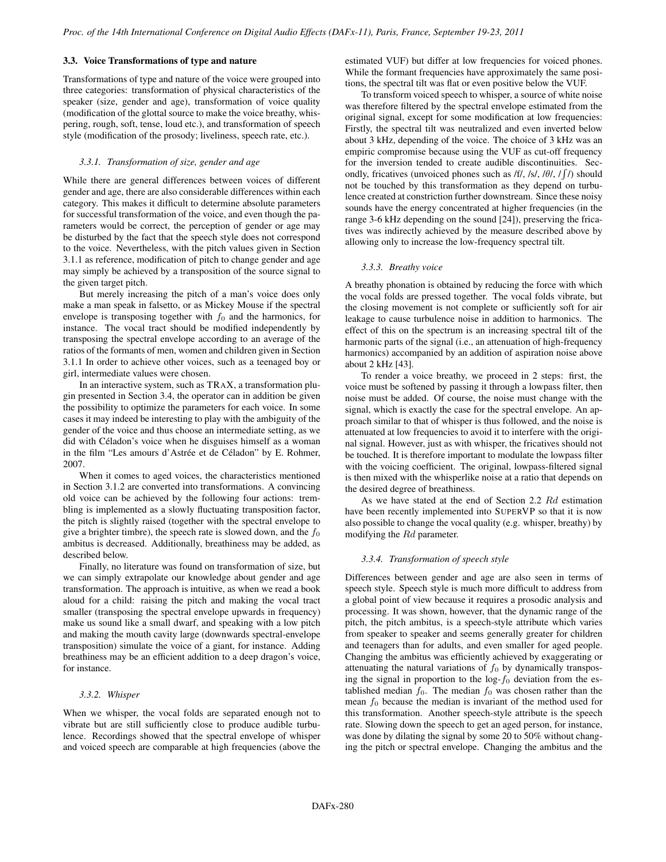# 3.3. Voice Transformations of type and nature

Transformations of type and nature of the voice were grouped into three categories: transformation of physical characteristics of the speaker (size, gender and age), transformation of voice quality (modification of the glottal source to make the voice breathy, whispering, rough, soft, tense, loud etc.), and transformation of speech style (modification of the prosody; liveliness, speech rate, etc.).

#### *3.3.1. Transformation of size, gender and age*

While there are general differences between voices of different gender and age, there are also considerable differences within each category. This makes it difficult to determine absolute parameters for successful transformation of the voice, and even though the parameters would be correct, the perception of gender or age may be disturbed by the fact that the speech style does not correspond to the voice. Nevertheless, with the pitch values given in Section 3.1.1 as reference, modification of pitch to change gender and age may simply be achieved by a transposition of the source signal to the given target pitch.

But merely increasing the pitch of a man's voice does only make a man speak in falsetto, or as Mickey Mouse if the spectral envelope is transposing together with  $f_0$  and the harmonics, for instance. The vocal tract should be modified independently by transposing the spectral envelope according to an average of the ratios of the formants of men, women and children given in Section 3.1.1 In order to achieve other voices, such as a teenaged boy or girl, intermediate values were chosen.

In an interactive system, such as TRAX, a transformation plugin presented in Section 3.4, the operator can in addition be given the possibility to optimize the parameters for each voice. In some cases it may indeed be interesting to play with the ambiguity of the gender of the voice and thus choose an intermediate setting, as we did with Céladon's voice when he disguises himself as a woman in the film "Les amours d'Astrée et de Céladon" by E. Rohmer, 2007.

When it comes to aged voices, the characteristics mentioned in Section 3.1.2 are converted into transformations. A convincing old voice can be achieved by the following four actions: trembling is implemented as a slowly fluctuating transposition factor, the pitch is slightly raised (together with the spectral envelope to give a brighter timbre), the speech rate is slowed down, and the  $f_0$ ambitus is decreased. Additionally, breathiness may be added, as described below.

Finally, no literature was found on transformation of size, but we can simply extrapolate our knowledge about gender and age transformation. The approach is intuitive, as when we read a book aloud for a child: raising the pitch and making the vocal tract smaller (transposing the spectral envelope upwards in frequency) make us sound like a small dwarf, and speaking with a low pitch and making the mouth cavity large (downwards spectral-envelope transposition) simulate the voice of a giant, for instance. Adding breathiness may be an efficient addition to a deep dragon's voice, for instance.

## *3.3.2. Whisper*

When we whisper, the vocal folds are separated enough not to vibrate but are still sufficiently close to produce audible turbulence. Recordings showed that the spectral envelope of whisper and voiced speech are comparable at high frequencies (above the

estimated VUF) but differ at low frequencies for voiced phones. While the formant frequencies have approximately the same positions, the spectral tilt was flat or even positive below the VUF.

To transform voiced speech to whisper, a source of white noise was therefore filtered by the spectral envelope estimated from the original signal, except for some modification at low frequencies: Firstly, the spectral tilt was neutralized and even inverted below about 3 kHz, depending of the voice. The choice of 3 kHz was an empiric compromise because using the VUF as cut-off frequency for the inversion tended to create audible discontinuities. Secondly, fricatives (unvoiced phones such as  $f f / f s / \frac{\theta}{f}$ ) should not be touched by this transformation as they depend on turbulence created at constriction further downstream. Since these noisy sounds have the energy concentrated at higher frequencies (in the range 3-6 kHz depending on the sound [24]), preserving the fricatives was indirectly achieved by the measure described above by allowing only to increase the low-frequency spectral tilt.

#### *3.3.3. Breathy voice*

A breathy phonation is obtained by reducing the force with which the vocal folds are pressed together. The vocal folds vibrate, but the closing movement is not complete or sufficiently soft for air leakage to cause turbulence noise in addition to harmonics. The effect of this on the spectrum is an increasing spectral tilt of the harmonic parts of the signal (i.e., an attenuation of high-frequency harmonics) accompanied by an addition of aspiration noise above about 2 kHz [43].

To render a voice breathy, we proceed in 2 steps: first, the voice must be softened by passing it through a lowpass filter, then noise must be added. Of course, the noise must change with the signal, which is exactly the case for the spectral envelope. An approach similar to that of whisper is thus followed, and the noise is attenuated at low frequencies to avoid it to interfere with the original signal. However, just as with whisper, the fricatives should not be touched. It is therefore important to modulate the lowpass filter with the voicing coefficient. The original, lowpass-filtered signal is then mixed with the whisperlike noise at a ratio that depends on the desired degree of breathiness.

As we have stated at the end of Section 2.2 Rd estimation have been recently implemented into SUPERVP so that it is now also possible to change the vocal quality (e.g. whisper, breathy) by modifying the Rd parameter.

#### *3.3.4. Transformation of speech style*

Differences between gender and age are also seen in terms of speech style. Speech style is much more difficult to address from a global point of view because it requires a prosodic analysis and processing. It was shown, however, that the dynamic range of the pitch, the pitch ambitus, is a speech-style attribute which varies from speaker to speaker and seems generally greater for children and teenagers than for adults, and even smaller for aged people. Changing the ambitus was efficiently achieved by exaggerating or attenuating the natural variations of  $f_0$  by dynamically transposing the signal in proportion to the  $log-f_0$  deviation from the established median  $f_0$ . The median  $f_0$  was chosen rather than the mean  $f_0$  because the median is invariant of the method used for this transformation. Another speech-style attribute is the speech rate. Slowing down the speech to get an aged person, for instance, was done by dilating the signal by some 20 to 50% without changing the pitch or spectral envelope. Changing the ambitus and the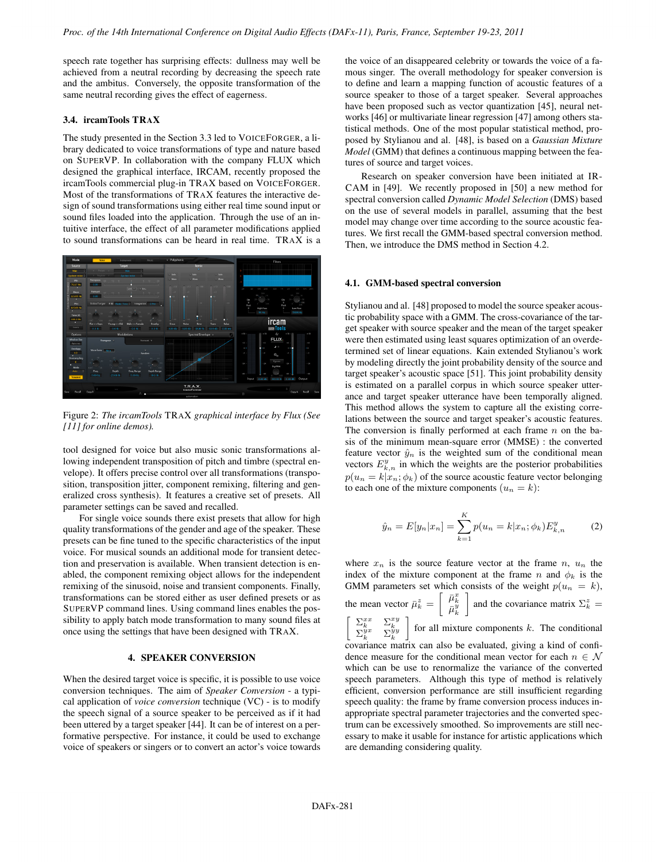speech rate together has surprising effects: dullness may well be achieved from a neutral recording by decreasing the speech rate and the ambitus. Conversely, the opposite transformation of the same neutral recording gives the effect of eagerness.

# 3.4. ircamTools TRAX

The study presented in the Section 3.3 led to VOICEFORGER, a library dedicated to voice transformations of type and nature based on SUPERVP. In collaboration with the company FLUX which designed the graphical interface, IRCAM, recently proposed the ircamTools commercial plug-in TRAX based on VOICEFORGER. Most of the transformations of TRAX features the interactive design of sound transformations using either real time sound input or sound files loaded into the application. Through the use of an intuitive interface, the effect of all parameter modifications applied to sound transformations can be heard in real time. TRAX is a



Figure 2: *The ircamTools* TRAX *graphical interface by Flux (See [11] for online demos).*

tool designed for voice but also music sonic transformations allowing independent transposition of pitch and timbre (spectral envelope). It offers precise control over all transformations (transposition, transposition jitter, component remixing, filtering and generalized cross synthesis). It features a creative set of presets. All parameter settings can be saved and recalled.

For single voice sounds there exist presets that allow for high quality transformations of the gender and age of the speaker. These presets can be fine tuned to the specific characteristics of the input voice. For musical sounds an additional mode for transient detection and preservation is available. When transient detection is enabled, the component remixing object allows for the independent remixing of the sinusoid, noise and transient components. Finally, transformations can be stored either as user defined presets or as SUPERVP command lines. Using command lines enables the possibility to apply batch mode transformation to many sound files at once using the settings that have been designed with TRAX.

# 4. SPEAKER CONVERSION

When the desired target voice is specific, it is possible to use voice conversion techniques. The aim of *Speaker Conversion* - a typical application of *voice conversion* technique (VC) - is to modify the speech signal of a source speaker to be perceived as if it had been uttered by a target speaker [44]. It can be of interest on a performative perspective. For instance, it could be used to exchange voice of speakers or singers or to convert an actor's voice towards

the voice of an disappeared celebrity or towards the voice of a famous singer. The overall methodology for speaker conversion is to define and learn a mapping function of acoustic features of a source speaker to those of a target speaker. Several approaches have been proposed such as vector quantization [45], neural networks [46] or multivariate linear regression [47] among others statistical methods. One of the most popular statistical method, proposed by Stylianou and al. [48], is based on a *Gaussian Mixture Model* (GMM) that defines a continuous mapping between the features of source and target voices.

Research on speaker conversion have been initiated at IR-CAM in [49]. We recently proposed in [50] a new method for spectral conversion called *Dynamic Model Selection* (DMS) based on the use of several models in parallel, assuming that the best model may change over time according to the source acoustic features. We first recall the GMM-based spectral conversion method. Then, we introduce the DMS method in Section 4.2.

### 4.1. GMM-based spectral conversion

Stylianou and al. [48] proposed to model the source speaker acoustic probability space with a GMM. The cross-covariance of the target speaker with source speaker and the mean of the target speaker were then estimated using least squares optimization of an overdetermined set of linear equations. Kain extended Stylianou's work by modeling directly the joint probability density of the source and target speaker's acoustic space [51]. This joint probability density is estimated on a parallel corpus in which source speaker utterance and target speaker utterance have been temporally aligned. This method allows the system to capture all the existing correlations between the source and target speaker's acoustic features. The conversion is finally performed at each frame  $n$  on the basis of the minimum mean-square error (MMSE) : the converted feature vector  $\hat{y}_n$  is the weighted sum of the conditional mean vectors  $E_{k,n}^y$  in which the weights are the posterior probabilities  $p(u_n = k | x_n; \phi_k)$  of the source acoustic feature vector belonging to each one of the mixture components  $(u_n = k)$ :

$$
\hat{y}_n = E[y_n | x_n] = \sum_{k=1}^{K} p(u_n = k | x_n; \phi_k) E_{k,n}^y
$$
 (2)

where  $x_n$  is the source feature vector at the frame  $n, u_n$  the index of the mixture component at the frame n and  $\phi_k$  is the GMM parameters set which consists of the weight  $p(u_n = k)$ , the mean vector  $\bar{\mu}_k^z = \begin{bmatrix} \bar{\mu}_k^x \\ \bar{\mu}_k^y \end{bmatrix}$ and the covariance matrix  $\Sigma_k^z =$  $\left[ \begin{array}{cc} \Sigma_k^{xx} & \Sigma_k^{xy} \\ \Sigma_k^{yx} & \Sigma_k^{yy} \end{array} \right.$  $\int$  for all mixture components k. The conditional covariance matrix can also be evaluated, giving a kind of confidence measure for the conditional mean vector for each  $n \in \mathcal{N}$ which can be use to renormalize the variance of the converted speech parameters. Although this type of method is relatively efficient, conversion performance are still insufficient regarding speech quality: the frame by frame conversion process induces inappropriate spectral parameter trajectories and the converted spectrum can be excessively smoothed. So improvements are still necessary to make it usable for instance for artistic applications which are demanding considering quality.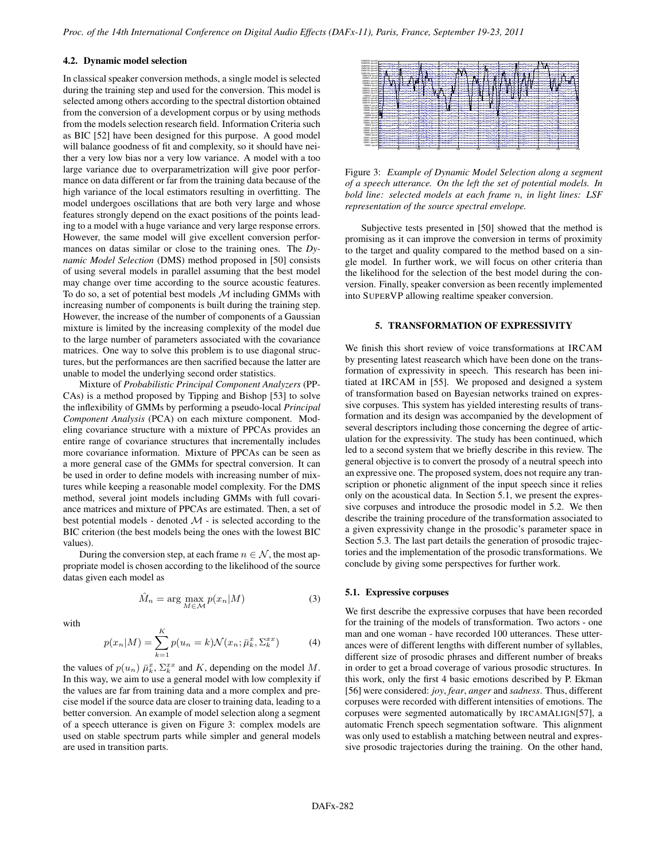# 4.2. Dynamic model selection

In classical speaker conversion methods, a single model is selected during the training step and used for the conversion. This model is selected among others according to the spectral distortion obtained from the conversion of a development corpus or by using methods from the models selection research field. Information Criteria such as BIC [52] have been designed for this purpose. A good model will balance goodness of fit and complexity, so it should have neither a very low bias nor a very low variance. A model with a too large variance due to overparametrization will give poor performance on data different or far from the training data because of the high variance of the local estimators resulting in overfitting. The model undergoes oscillations that are both very large and whose features strongly depend on the exact positions of the points leading to a model with a huge variance and very large response errors. However, the same model will give excellent conversion performances on datas similar or close to the training ones. The *Dynamic Model Selection* (DMS) method proposed in [50] consists of using several models in parallel assuming that the best model may change over time according to the source acoustic features. To do so, a set of potential best models  $M$  including GMMs with increasing number of components is built during the training step. However, the increase of the number of components of a Gaussian mixture is limited by the increasing complexity of the model due to the large number of parameters associated with the covariance matrices. One way to solve this problem is to use diagonal structures, but the performances are then sacrified because the latter are unable to model the underlying second order statistics.

Mixture of *Probabilistic Principal Component Analyzers* (PP-CAs) is a method proposed by Tipping and Bishop [53] to solve the inflexibility of GMMs by performing a pseudo-local *Principal Component Analysis* (PCA) on each mixture component. Modeling covariance structure with a mixture of PPCAs provides an entire range of covariance structures that incrementally includes more covariance information. Mixture of PPCAs can be seen as a more general case of the GMMs for spectral conversion. It can be used in order to define models with increasing number of mixtures while keeping a reasonable model complexity. For the DMS method, several joint models including GMMs with full covariance matrices and mixture of PPCAs are estimated. Then, a set of best potential models - denoted  $M$  - is selected according to the BIC criterion (the best models being the ones with the lowest BIC values).

During the conversion step, at each frame  $n \in \mathcal{N}$ , the most appropriate model is chosen according to the likelihood of the source datas given each model as

$$
\hat{M}_n = \arg\max_{M \in \mathcal{M}} p(x_n|M) \tag{3}
$$

with

$$
p(x_n|M) = \sum_{k=1}^{K} p(u_n = k) \mathcal{N}(x_n; \bar{\mu}_k^x, \Sigma_k^{xx})
$$
 (4)

the values of  $p(u_n) \bar{\mu}_k^x$ ,  $\Sigma_k^{xx}$  and K, depending on the model M. In this way, we aim to use a general model with low complexity if the values are far from training data and a more complex and precise model if the source data are closer to training data, leading to a better conversion. An example of model selection along a segment of a speech utterance is given on Figure 3: complex models are used on stable spectrum parts while simpler and general models are used in transition parts.



Figure 3: *Example of Dynamic Model Selection along a segment of a speech utterance. On the left the set of potential models. In bold line: selected models at each frame* n*, in light lines: LSF representation of the source spectral envelope.*

Subjective tests presented in [50] showed that the method is promising as it can improve the conversion in terms of proximity to the target and quality compared to the method based on a single model. In further work, we will focus on other criteria than the likelihood for the selection of the best model during the conversion. Finally, speaker conversion as been recently implemented into SUPERVP allowing realtime speaker conversion.

# 5. TRANSFORMATION OF EXPRESSIVITY

We finish this short review of voice transformations at IRCAM by presenting latest reasearch which have been done on the transformation of expressivity in speech. This research has been initiated at IRCAM in [55]. We proposed and designed a system of transformation based on Bayesian networks trained on expressive corpuses. This system has yielded interesting results of transformation and its design was accompanied by the development of several descriptors including those concerning the degree of articulation for the expressivity. The study has been continued, which led to a second system that we briefly describe in this review. The general objective is to convert the prosody of a neutral speech into an expressive one. The proposed system, does not require any transcription or phonetic alignment of the input speech since it relies only on the acoustical data. In Section 5.1, we present the expressive corpuses and introduce the prosodic model in 5.2. We then describe the training procedure of the transformation associated to a given expressivity change in the prosodic's parameter space in Section 5.3. The last part details the generation of prosodic trajectories and the implementation of the prosodic transformations. We conclude by giving some perspectives for further work.

### 5.1. Expressive corpuses

We first describe the expressive corpuses that have been recorded for the training of the models of transformation. Two actors - one man and one woman - have recorded 100 utterances. These utterances were of different lengths with different number of syllables, different size of prosodic phrases and different number of breaks in order to get a broad coverage of various prosodic structures. In this work, only the first 4 basic emotions described by P. Ekman [56] were considered: *joy*, *fear*, *anger* and *sadness*. Thus, different corpuses were recorded with different intensities of emotions. The corpuses were segmented automatically by IRCAMALIGN[57], a automatic French speech segmentation software. This alignment was only used to establish a matching between neutral and expressive prosodic trajectories during the training. On the other hand,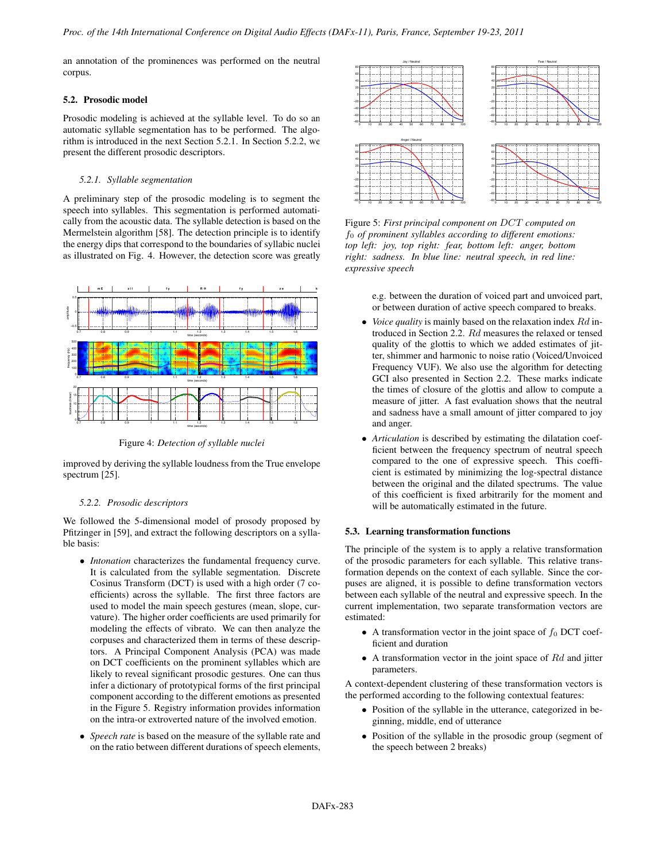an annotation of the prominences was performed on the neutral corpus.

### 5.2. Prosodic model

Prosodic modeling is achieved at the syllable level. To do so an automatic syllable segmentation has to be performed. The algorithm is introduced in the next Section 5.2.1. In Section 5.2.2, we present the different prosodic descriptors.

### *5.2.1. Syllable segmentation*

A preliminary step of the prosodic modeling is to segment the speech into syllables. This segmentation is performed automatically from the acoustic data. The syllable detection is based on the Mermelstein algorithm [58]. The detection principle is to identify the energy dips that correspond to the boundaries of syllabic nuclei as illustrated on Fig. 4. However, the detection score was greatly



Figure 4: *Detection of syllable nuclei*

improved by deriving the syllable loudness from the True envelope spectrum [25].

### *5.2.2. Prosodic descriptors*

We followed the 5-dimensional model of prosody proposed by Pfitzinger in [59], and extract the following descriptors on a syllable basis:

- *Intonation* characterizes the fundamental frequency curve. It is calculated from the syllable segmentation. Discrete Cosinus Transform (DCT) is used with a high order (7 coefficients) across the syllable. The first three factors are used to model the main speech gestures (mean, slope, curvature). The higher order coefficients are used primarily for modeling the effects of vibrato. We can then analyze the corpuses and characterized them in terms of these descriptors. A Principal Component Analysis (PCA) was made on DCT coefficients on the prominent syllables which are likely to reveal significant prosodic gestures. One can thus infer a dictionary of prototypical forms of the first principal component according to the different emotions as presented in the Figure 5. Registry information provides information on the intra-or extroverted nature of the involved emotion.
- *Speech rate* is based on the measure of the syllable rate and on the ratio between different durations of speech elements,



Figure 5: *First principal component on* DCT *computed on* f<sup>0</sup> *of prominent syllables according to different emotions: top left: joy, top right: fear, bottom left: anger, bottom right: sadness. In blue line: neutral speech, in red line: expressive speech*

e.g. between the duration of voiced part and unvoiced part, or between duration of active speech compared to breaks.

- *Voice quality* is mainly based on the relaxation index Rd introduced in Section 2.2. Rd measures the relaxed or tensed quality of the glottis to which we added estimates of jitter, shimmer and harmonic to noise ratio (Voiced/Unvoiced Frequency VUF). We also use the algorithm for detecting GCI also presented in Section 2.2. These marks indicate the times of closure of the glottis and allow to compute a measure of jitter. A fast evaluation shows that the neutral and sadness have a small amount of jitter compared to joy and anger.
- *Articulation* is described by estimating the dilatation coefficient between the frequency spectrum of neutral speech compared to the one of expressive speech. This coefficient is estimated by minimizing the log-spectral distance between the original and the dilated spectrums. The value of this coefficient is fixed arbitrarily for the moment and will be automatically estimated in the future.

# 5.3. Learning transformation functions

The principle of the system is to apply a relative transformation of the prosodic parameters for each syllable. This relative transformation depends on the context of each syllable. Since the corpuses are aligned, it is possible to define transformation vectors between each syllable of the neutral and expressive speech. In the current implementation, two separate transformation vectors are estimated:

- A transformation vector in the joint space of  $f_0$  DCT coefficient and duration
- $\bullet$  A transformation vector in the joint space of  $Rd$  and jitter parameters.

A context-dependent clustering of these transformation vectors is the performed according to the following contextual features:

- Position of the syllable in the utterance, categorized in beginning, middle, end of utterance
- Position of the syllable in the prosodic group (segment of the speech between 2 breaks)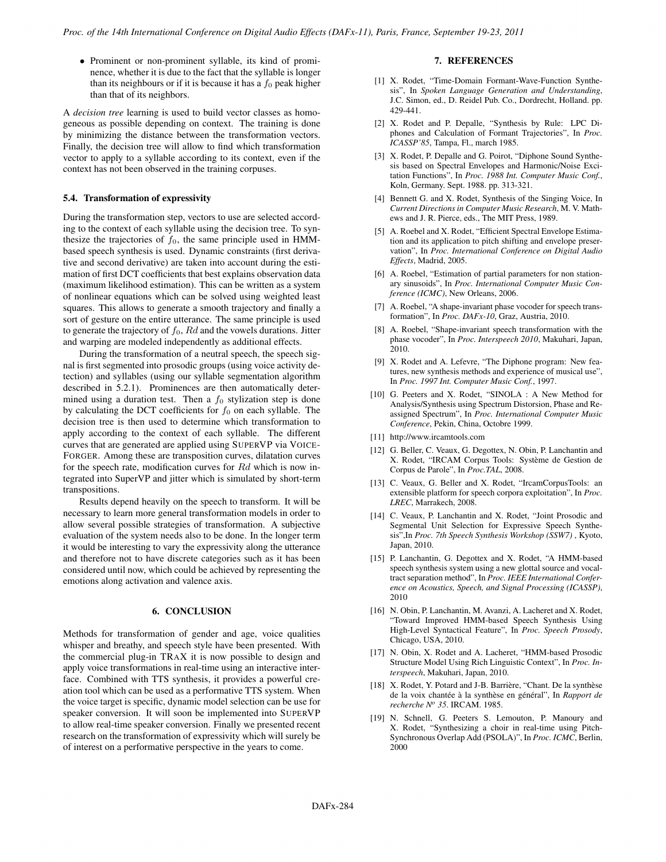• Prominent or non-prominent syllable, its kind of prominence, whether it is due to the fact that the syllable is longer than its neighbours or if it is because it has a  $f_0$  peak higher than that of its neighbors.

A *decision tree* learning is used to build vector classes as homogeneous as possible depending on context. The training is done by minimizing the distance between the transformation vectors. Finally, the decision tree will allow to find which transformation vector to apply to a syllable according to its context, even if the context has not been observed in the training corpuses.

### 5.4. Transformation of expressivity

During the transformation step, vectors to use are selected according to the context of each syllable using the decision tree. To synthesize the trajectories of  $f_0$ , the same principle used in HMMbased speech synthesis is used. Dynamic constraints (first derivative and second derivative) are taken into account during the estimation of first DCT coefficients that best explains observation data (maximum likelihood estimation). This can be written as a system of nonlinear equations which can be solved using weighted least squares. This allows to generate a smooth trajectory and finally a sort of gesture on the entire utterance. The same principle is used to generate the trajectory of  $f_0$ ,  $Rd$  and the vowels durations. Jitter and warping are modeled independently as additional effects.

During the transformation of a neutral speech, the speech signal is first segmented into prosodic groups (using voice activity detection) and syllables (using our syllable segmentation algorithm described in 5.2.1). Prominences are then automatically determined using a duration test. Then a  $f_0$  stylization step is done by calculating the DCT coefficients for  $f_0$  on each syllable. The decision tree is then used to determine which transformation to apply according to the context of each syllable. The different curves that are generated are applied using SUPERVP via VOICE-FORGER. Among these are transposition curves, dilatation curves for the speech rate, modification curves for Rd which is now integrated into SuperVP and jitter which is simulated by short-term transpositions.

Results depend heavily on the speech to transform. It will be necessary to learn more general transformation models in order to allow several possible strategies of transformation. A subjective evaluation of the system needs also to be done. In the longer term it would be interesting to vary the expressivity along the utterance and therefore not to have discrete categories such as it has been considered until now, which could be achieved by representing the emotions along activation and valence axis.

# 6. CONCLUSION

Methods for transformation of gender and age, voice qualities whisper and breathy, and speech style have been presented. With the commercial plug-in TRAX it is now possible to design and apply voice transformations in real-time using an interactive interface. Combined with TTS synthesis, it provides a powerful creation tool which can be used as a performative TTS system. When the voice target is specific, dynamic model selection can be use for speaker conversion. It will soon be implemented into SUPERVP to allow real-time speaker conversion. Finally we presented recent research on the transformation of expressivity which will surely be of interest on a performative perspective in the years to come.

# 7. REFERENCES

- [1] X. Rodet, "Time-Domain Formant-Wave-Function Synthesis", In *Spoken Language Generation and Understanding*, J.C. Simon, ed., D. Reidel Pub. Co., Dordrecht, Holland. pp. 429-441.
- [2] X. Rodet and P. Depalle, "Synthesis by Rule: LPC Diphones and Calculation of Formant Trajectories", In *Proc. ICASSP'85*, Tampa, Fl., march 1985.
- [3] X. Rodet, P. Depalle and G. Poirot, "Diphone Sound Synthesis based on Spectral Envelopes and Harmonic/Noise Excitation Functions", In *Proc. 1988 Int. Computer Music Conf.*, Koln, Germany. Sept. 1988. pp. 313-321.
- [4] Bennett G. and X. Rodet, Synthesis of the Singing Voice, In *Current Directions in Computer Music Research*, M. V. Mathews and J. R. Pierce, eds., The MIT Press, 1989.
- [5] A. Roebel and X. Rodet, "Efficient Spectral Envelope Estimation and its application to pitch shifting and envelope preservation", In *Proc. International Conference on Digital Audio Effects*, Madrid, 2005.
- [6] A. Roebel, "Estimation of partial parameters for non stationary sinusoids", In *Proc. International Computer Music Conference (ICMC)*, New Orleans, 2006.
- [7] A. Roebel, "A shape-invariant phase vocoder for speech transformation", In *Proc. DAFx-10*, Graz, Austria, 2010.
- [8] A. Roebel, "Shape-invariant speech transformation with the phase vocoder", In *Proc. Interspeech 2010*, Makuhari, Japan, 2010.
- [9] X. Rodet and A. Lefevre, "The Diphone program: New features, new synthesis methods and experience of musical use", In *Proc. 1997 Int. Computer Music Conf.*, 1997.
- [10] G. Peeters and X. Rodet, "SINOLA : A New Method for Analysis/Synthesis using Spectrum Distorsion, Phase and Reassigned Spectrum", In *Proc. International Computer Music Conference*, Pekin, China, Octobre 1999.
- [11] http://www.ircamtools.com
- [12] G. Beller, C. Veaux, G. Degottex, N. Obin, P. Lanchantin and X. Rodet, "IRCAM Corpus Tools: Système de Gestion de Corpus de Parole", In *Proc.TAL*, 2008.
- [13] C. Veaux, G. Beller and X. Rodet, "IrcamCorpusTools: an extensible platform for speech corpora exploitation", In *Proc. LREC*, Marrakech, 2008.
- [14] C. Veaux, P. Lanchantin and X. Rodet, "Joint Prosodic and Segmental Unit Selection for Expressive Speech Synthesis",In *Proc. 7th Speech Synthesis Workshop (SSW7)* , Kyoto, Japan, 2010.
- [15] P. Lanchantin, G. Degottex and X. Rodet, "A HMM-based" speech synthesis system using a new glottal source and vocaltract separation method", In *Proc. IEEE International Conference on Acoustics, Speech, and Signal Processing (ICASSP)*, 2010
- [16] N. Obin, P. Lanchantin, M. Avanzi, A. Lacheret and X. Rodet, "Toward Improved HMM-based Speech Synthesis Using High-Level Syntactical Feature", In *Proc. Speech Prosody*, Chicago, USA, 2010.
- [17] N. Obin, X. Rodet and A. Lacheret, "HMM-based Prosodic Structure Model Using Rich Linguistic Context", In *Proc. Interspeech*, Makuhari, Japan, 2010.
- [18] X. Rodet, Y. Potard and J-B. Barrière, "Chant. De la synthèse de la voix chantée à la synthèse en général", In *Rapport de recherche No 35*. IRCAM. 1985.
- [19] N. Schnell, G. Peeters S. Lemouton, P. Manoury and X. Rodet, "Synthesizing a choir in real-time using Pitch-Synchronous Overlap Add (PSOLA)", In *Proc. ICMC*, Berlin, 2000